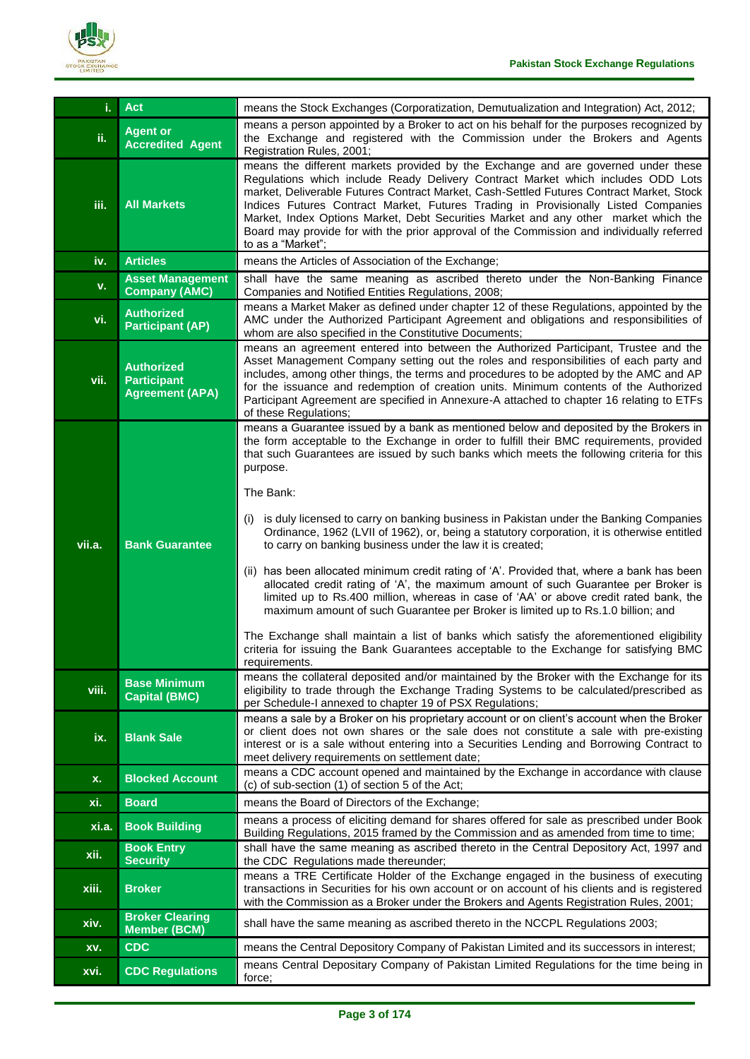

| i.           | <b>Act</b>                                                        | means the Stock Exchanges (Corporatization, Demutualization and Integration) Act, 2012;                                                                                                                                                                                                                                                                                                                                                                                                                                                                          |
|--------------|-------------------------------------------------------------------|------------------------------------------------------------------------------------------------------------------------------------------------------------------------------------------------------------------------------------------------------------------------------------------------------------------------------------------------------------------------------------------------------------------------------------------------------------------------------------------------------------------------------------------------------------------|
| ii.          | <b>Agent or</b><br><b>Accredited Agent</b>                        | means a person appointed by a Broker to act on his behalf for the purposes recognized by<br>the Exchange and registered with the Commission under the Brokers and Agents<br>Registration Rules, 2001;                                                                                                                                                                                                                                                                                                                                                            |
| iii.         | <b>All Markets</b>                                                | means the different markets provided by the Exchange and are governed under these<br>Regulations which include Ready Delivery Contract Market which includes ODD Lots<br>market, Deliverable Futures Contract Market, Cash-Settled Futures Contract Market, Stock<br>Indices Futures Contract Market, Futures Trading in Provisionally Listed Companies<br>Market, Index Options Market, Debt Securities Market and any other market which the<br>Board may provide for with the prior approval of the Commission and individually referred<br>to as a "Market"; |
| iv.          | <b>Articles</b>                                                   | means the Articles of Association of the Exchange;                                                                                                                                                                                                                                                                                                                                                                                                                                                                                                               |
| v.           | <b>Asset Management</b><br><b>Company (AMC)</b>                   | shall have the same meaning as ascribed thereto under the Non-Banking Finance<br>Companies and Notified Entities Regulations, 2008;                                                                                                                                                                                                                                                                                                                                                                                                                              |
| vi.          | <b>Authorized</b><br><b>Participant (AP)</b>                      | means a Market Maker as defined under chapter 12 of these Regulations, appointed by the<br>AMC under the Authorized Participant Agreement and obligations and responsibilities of<br>whom are also specified in the Constitutive Documents;                                                                                                                                                                                                                                                                                                                      |
| vii.         | <b>Authorized</b><br><b>Participant</b><br><b>Agreement (APA)</b> | means an agreement entered into between the Authorized Participant, Trustee and the<br>Asset Management Company setting out the roles and responsibilities of each party and<br>includes, among other things, the terms and procedures to be adopted by the AMC and AP<br>for the issuance and redemption of creation units. Minimum contents of the Authorized<br>Participant Agreement are specified in Annexure-A attached to chapter 16 relating to ETFs<br>of these Regulations;                                                                            |
|              |                                                                   | means a Guarantee issued by a bank as mentioned below and deposited by the Brokers in<br>the form acceptable to the Exchange in order to fulfill their BMC requirements, provided<br>that such Guarantees are issued by such banks which meets the following criteria for this<br>purpose.                                                                                                                                                                                                                                                                       |
| vii.a.       | <b>Bank Guarantee</b>                                             | The Bank:<br>is duly licensed to carry on banking business in Pakistan under the Banking Companies<br>(1)<br>Ordinance, 1962 (LVII of 1962), or, being a statutory corporation, it is otherwise entitled<br>to carry on banking business under the law it is created;                                                                                                                                                                                                                                                                                            |
|              |                                                                   | (ii) has been allocated minimum credit rating of 'A'. Provided that, where a bank has been<br>allocated credit rating of 'A', the maximum amount of such Guarantee per Broker is<br>limited up to Rs.400 million, whereas in case of 'AA' or above credit rated bank, the<br>maximum amount of such Guarantee per Broker is limited up to Rs.1.0 billion; and<br>The Exchange shall maintain a list of banks which satisfy the aforementioned eligibility<br>criteria for issuing the Bank Guarantees acceptable to the Exchange for satisfying BMC              |
| viii.        | <b>Base Minimum</b><br><b>Capital (BMC)</b>                       | requirements.<br>means the collateral deposited and/or maintained by the Broker with the Exchange for its<br>eligibility to trade through the Exchange Trading Systems to be calculated/prescribed as                                                                                                                                                                                                                                                                                                                                                            |
| ix.          | <b>Blank Sale</b>                                                 | per Schedule-I annexed to chapter 19 of PSX Regulations;<br>means a sale by a Broker on his proprietary account or on client's account when the Broker<br>or client does not own shares or the sale does not constitute a sale with pre-existing<br>interest or is a sale without entering into a Securities Lending and Borrowing Contract to                                                                                                                                                                                                                   |
| x.           | <b>Blocked Account</b>                                            | meet delivery requirements on settlement date;<br>means a CDC account opened and maintained by the Exchange in accordance with clause<br>(c) of sub-section (1) of section 5 of the Act;                                                                                                                                                                                                                                                                                                                                                                         |
| xi.          | <b>Board</b>                                                      | means the Board of Directors of the Exchange;                                                                                                                                                                                                                                                                                                                                                                                                                                                                                                                    |
| xi.a.        | <b>Book Building</b>                                              | means a process of eliciting demand for shares offered for sale as prescribed under Book<br>Building Regulations, 2015 framed by the Commission and as amended from time to time;                                                                                                                                                                                                                                                                                                                                                                                |
| xii.         | <b>Book Entry</b><br><b>Security</b>                              | shall have the same meaning as ascribed thereto in the Central Depository Act, 1997 and<br>the CDC Regulations made thereunder;                                                                                                                                                                                                                                                                                                                                                                                                                                  |
| xiii.        | <b>Broker</b>                                                     | means a TRE Certificate Holder of the Exchange engaged in the business of executing<br>transactions in Securities for his own account or on account of his clients and is registered<br>with the Commission as a Broker under the Brokers and Agents Registration Rules, 2001;                                                                                                                                                                                                                                                                                   |
| xiv.         | <b>Broker Clearing</b><br><b>Member (BCM)</b>                     | shall have the same meaning as ascribed thereto in the NCCPL Regulations 2003;                                                                                                                                                                                                                                                                                                                                                                                                                                                                                   |
| XV.          | <b>CDC</b>                                                        | means the Central Depository Company of Pakistan Limited and its successors in interest;                                                                                                                                                                                                                                                                                                                                                                                                                                                                         |
| xvi <u>.</u> | <b>CDC Regulations</b>                                            | means Central Depositary Company of Pakistan Limited Regulations for the time being in<br>force;                                                                                                                                                                                                                                                                                                                                                                                                                                                                 |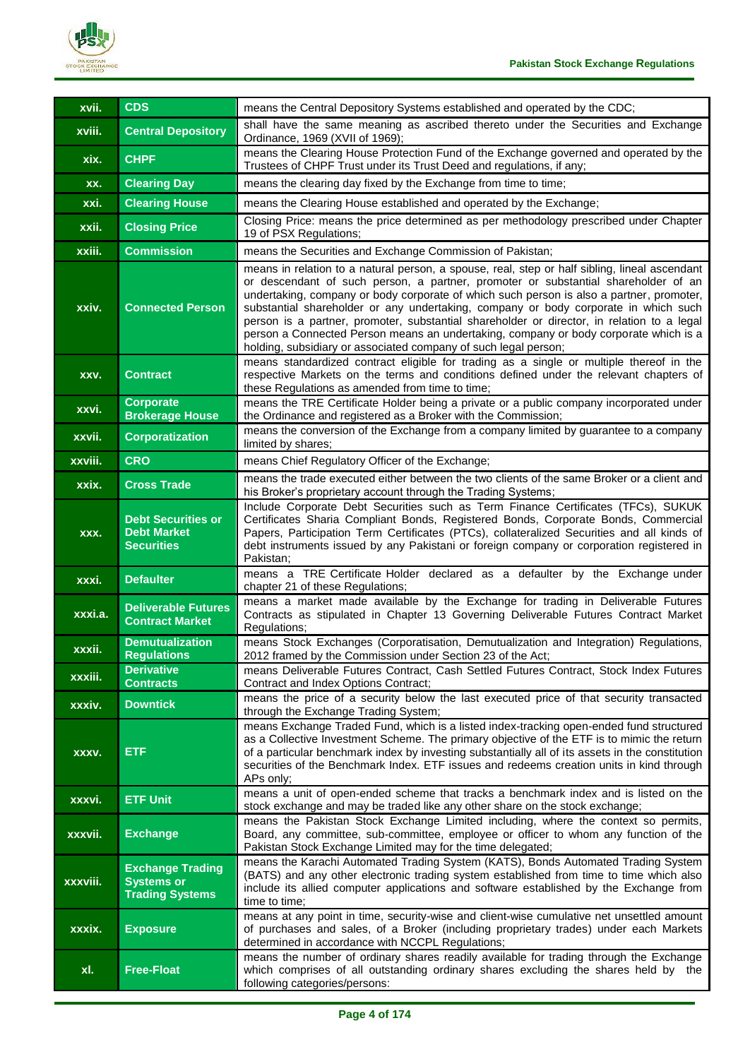

| xvii.    | <b>CDS</b>                                                             | means the Central Depository Systems established and operated by the CDC;                                                                                                                                                                                                                                                                                                                                                                                                                                                                                                                                                       |
|----------|------------------------------------------------------------------------|---------------------------------------------------------------------------------------------------------------------------------------------------------------------------------------------------------------------------------------------------------------------------------------------------------------------------------------------------------------------------------------------------------------------------------------------------------------------------------------------------------------------------------------------------------------------------------------------------------------------------------|
| xviii.   | <b>Central Depository</b>                                              | shall have the same meaning as ascribed thereto under the Securities and Exchange<br>Ordinance, 1969 (XVII of 1969);                                                                                                                                                                                                                                                                                                                                                                                                                                                                                                            |
| xix.     | <b>CHPF</b>                                                            | means the Clearing House Protection Fund of the Exchange governed and operated by the<br>Trustees of CHPF Trust under its Trust Deed and regulations, if any;                                                                                                                                                                                                                                                                                                                                                                                                                                                                   |
| XX.      | <b>Clearing Day</b>                                                    | means the clearing day fixed by the Exchange from time to time;                                                                                                                                                                                                                                                                                                                                                                                                                                                                                                                                                                 |
| xxi.     | <b>Clearing House</b>                                                  | means the Clearing House established and operated by the Exchange;                                                                                                                                                                                                                                                                                                                                                                                                                                                                                                                                                              |
| xxii.    | <b>Closing Price</b>                                                   | Closing Price: means the price determined as per methodology prescribed under Chapter<br>19 of PSX Regulations;                                                                                                                                                                                                                                                                                                                                                                                                                                                                                                                 |
| xxiii.   | <b>Commission</b>                                                      | means the Securities and Exchange Commission of Pakistan;                                                                                                                                                                                                                                                                                                                                                                                                                                                                                                                                                                       |
| xxiv.    | <b>Connected Person</b>                                                | means in relation to a natural person, a spouse, real, step or half sibling, lineal ascendant<br>or descendant of such person, a partner, promoter or substantial shareholder of an<br>undertaking, company or body corporate of which such person is also a partner, promoter,<br>substantial shareholder or any undertaking, company or body corporate in which such<br>person is a partner, promoter, substantial shareholder or director, in relation to a legal<br>person a Connected Person means an undertaking, company or body corporate which is a<br>holding, subsidiary or associated company of such legal person; |
| XXV.     | <b>Contract</b>                                                        | means standardized contract eligible for trading as a single or multiple thereof in the<br>respective Markets on the terms and conditions defined under the relevant chapters of<br>these Regulations as amended from time to time;                                                                                                                                                                                                                                                                                                                                                                                             |
| xxvi.    | <b>Corporate</b><br><b>Brokerage House</b>                             | means the TRE Certificate Holder being a private or a public company incorporated under<br>the Ordinance and registered as a Broker with the Commission;                                                                                                                                                                                                                                                                                                                                                                                                                                                                        |
| xxvii.   | <b>Corporatization</b>                                                 | means the conversion of the Exchange from a company limited by guarantee to a company<br>limited by shares;                                                                                                                                                                                                                                                                                                                                                                                                                                                                                                                     |
| xxviii.  | <b>CRO</b>                                                             | means Chief Regulatory Officer of the Exchange;                                                                                                                                                                                                                                                                                                                                                                                                                                                                                                                                                                                 |
| xxix.    | <b>Cross Trade</b>                                                     | means the trade executed either between the two clients of the same Broker or a client and<br>his Broker's proprietary account through the Trading Systems;                                                                                                                                                                                                                                                                                                                                                                                                                                                                     |
| XXX.     | <b>Debt Securities or</b><br><b>Debt Market</b><br><b>Securities</b>   | Include Corporate Debt Securities such as Term Finance Certificates (TFCs), SUKUK<br>Certificates Sharia Compliant Bonds, Registered Bonds, Corporate Bonds, Commercial<br>Papers, Participation Term Certificates (PTCs), collateralized Securities and all kinds of<br>debt instruments issued by any Pakistani or foreign company or corporation registered in<br>Pakistan;                                                                                                                                                                                                                                                  |
| xxxi.    | <b>Defaulter</b>                                                       | means a TRE Certificate Holder declared as a defaulter by the Exchange under<br>chapter 21 of these Regulations;                                                                                                                                                                                                                                                                                                                                                                                                                                                                                                                |
| xxxi.a.  | <b>Deliverable Futures</b><br><b>Contract Market</b>                   | means a market made available by the Exchange for trading in Deliverable Futures<br>Contracts as stipulated in Chapter 13 Governing Deliverable Futures Contract Market<br>Regulations;                                                                                                                                                                                                                                                                                                                                                                                                                                         |
| xxxii.   | <b>Demutualization</b><br><b>Regulations</b>                           | means Stock Exchanges (Corporatisation, Demutualization and Integration) Regulations,<br>2012 framed by the Commission under Section 23 of the Act;                                                                                                                                                                                                                                                                                                                                                                                                                                                                             |
| xxxiii.  | <b>Derivative</b><br><b>Contracts</b>                                  | means Deliverable Futures Contract, Cash Settled Futures Contract, Stock Index Futures<br>Contract and Index Options Contract;                                                                                                                                                                                                                                                                                                                                                                                                                                                                                                  |
| xxxiv.   | <b>Downtick</b>                                                        | means the price of a security below the last executed price of that security transacted<br>through the Exchange Trading System;                                                                                                                                                                                                                                                                                                                                                                                                                                                                                                 |
| XXXV.    | <b>ETF</b>                                                             | means Exchange Traded Fund, which is a listed index-tracking open-ended fund structured<br>as a Collective Investment Scheme. The primary objective of the ETF is to mimic the return<br>of a particular benchmark index by investing substantially all of its assets in the constitution<br>securities of the Benchmark Index. ETF issues and redeems creation units in kind through<br>APs only;                                                                                                                                                                                                                              |
| xxxvi.   | <b>ETF Unit</b>                                                        | means a unit of open-ended scheme that tracks a benchmark index and is listed on the<br>stock exchange and may be traded like any other share on the stock exchange;                                                                                                                                                                                                                                                                                                                                                                                                                                                            |
| xxxvii.  | <b>Exchange</b>                                                        | means the Pakistan Stock Exchange Limited including, where the context so permits,<br>Board, any committee, sub-committee, employee or officer to whom any function of the<br>Pakistan Stock Exchange Limited may for the time delegated;                                                                                                                                                                                                                                                                                                                                                                                       |
| xxxviii. | <b>Exchange Trading</b><br><b>Systems or</b><br><b>Trading Systems</b> | means the Karachi Automated Trading System (KATS), Bonds Automated Trading System<br>(BATS) and any other electronic trading system established from time to time which also<br>include its allied computer applications and software established by the Exchange from<br>time to time;                                                                                                                                                                                                                                                                                                                                         |
| xxxix.   | <b>Exposure</b>                                                        | means at any point in time, security-wise and client-wise cumulative net unsettled amount<br>of purchases and sales, of a Broker (including proprietary trades) under each Markets<br>determined in accordance with NCCPL Regulations;                                                                                                                                                                                                                                                                                                                                                                                          |
| xl.      | <b>Free-Float</b>                                                      | means the number of ordinary shares readily available for trading through the Exchange<br>which comprises of all outstanding ordinary shares excluding the shares held by the<br>following categories/persons:                                                                                                                                                                                                                                                                                                                                                                                                                  |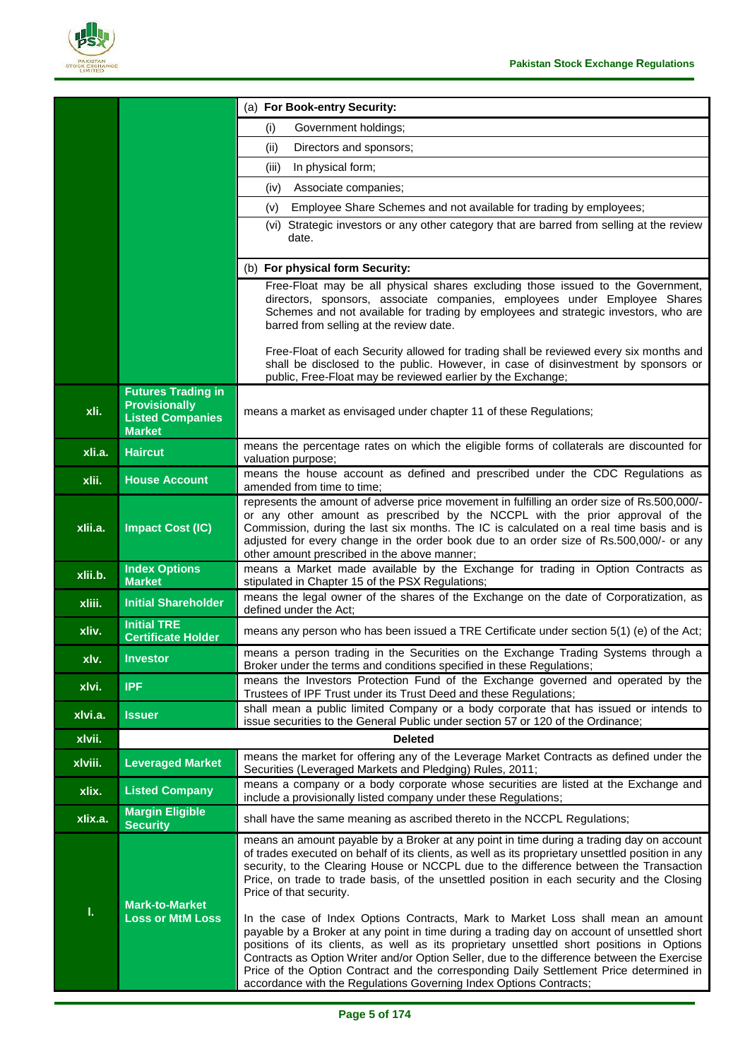

|         |                                                                                               | (a) For Book-entry Security:                                                                                                                                                                                                                                                                                                                                                                                                                                                                                                                 |
|---------|-----------------------------------------------------------------------------------------------|----------------------------------------------------------------------------------------------------------------------------------------------------------------------------------------------------------------------------------------------------------------------------------------------------------------------------------------------------------------------------------------------------------------------------------------------------------------------------------------------------------------------------------------------|
|         |                                                                                               | (i)<br>Government holdings;                                                                                                                                                                                                                                                                                                                                                                                                                                                                                                                  |
|         |                                                                                               | Directors and sponsors;<br>(ii)                                                                                                                                                                                                                                                                                                                                                                                                                                                                                                              |
|         |                                                                                               | In physical form;<br>(iii)                                                                                                                                                                                                                                                                                                                                                                                                                                                                                                                   |
|         |                                                                                               | Associate companies:<br>(iv)                                                                                                                                                                                                                                                                                                                                                                                                                                                                                                                 |
|         |                                                                                               | Employee Share Schemes and not available for trading by employees;<br>(v)                                                                                                                                                                                                                                                                                                                                                                                                                                                                    |
|         |                                                                                               | (vi) Strategic investors or any other category that are barred from selling at the review<br>date.                                                                                                                                                                                                                                                                                                                                                                                                                                           |
|         |                                                                                               | (b) For physical form Security:                                                                                                                                                                                                                                                                                                                                                                                                                                                                                                              |
|         |                                                                                               | Free-Float may be all physical shares excluding those issued to the Government,<br>directors, sponsors, associate companies, employees under Employee Shares<br>Schemes and not available for trading by employees and strategic investors, who are<br>barred from selling at the review date.                                                                                                                                                                                                                                               |
|         |                                                                                               | Free-Float of each Security allowed for trading shall be reviewed every six months and<br>shall be disclosed to the public. However, in case of disinvestment by sponsors or<br>public, Free-Float may be reviewed earlier by the Exchange;                                                                                                                                                                                                                                                                                                  |
| xli.    | <b>Futures Trading in</b><br><b>Provisionally</b><br><b>Listed Companies</b><br><b>Market</b> | means a market as envisaged under chapter 11 of these Regulations;                                                                                                                                                                                                                                                                                                                                                                                                                                                                           |
| xli.a.  | <b>Haircut</b>                                                                                | means the percentage rates on which the eligible forms of collaterals are discounted for<br>valuation purpose;                                                                                                                                                                                                                                                                                                                                                                                                                               |
| xlii.   | <b>House Account</b>                                                                          | means the house account as defined and prescribed under the CDC Regulations as<br>amended from time to time;                                                                                                                                                                                                                                                                                                                                                                                                                                 |
| xlii.a. | <b>Impact Cost (IC)</b>                                                                       | represents the amount of adverse price movement in fulfilling an order size of Rs.500,000/-<br>or any other amount as prescribed by the NCCPL with the prior approval of the<br>Commission, during the last six months. The IC is calculated on a real time basis and is<br>adjusted for every change in the order book due to an order size of Rs.500,000/- or any<br>other amount prescribed in the above manner;                                                                                                                          |
| xlii.b. | <b>Index Options</b><br><b>Market</b>                                                         | means a Market made available by the Exchange for trading in Option Contracts as<br>stipulated in Chapter 15 of the PSX Regulations;                                                                                                                                                                                                                                                                                                                                                                                                         |
| xliii.  | <b>Initial Shareholder</b>                                                                    | means the legal owner of the shares of the Exchange on the date of Corporatization, as<br>defined under the Act;                                                                                                                                                                                                                                                                                                                                                                                                                             |
| xliv.   | <b>Initial TRE</b><br><b>Certificate Holder</b>                                               | means any person who has been issued a TRE Certificate under section 5(1) (e) of the Act;                                                                                                                                                                                                                                                                                                                                                                                                                                                    |
| xlv.    | <b>Investor</b>                                                                               | means a person trading in the Securities on the Exchange Trading Systems through a<br>Broker under the terms and conditions specified in these Regulations;                                                                                                                                                                                                                                                                                                                                                                                  |
| xlvi.   | <b>IPF</b>                                                                                    | means the Investors Protection Fund of the Exchange governed and operated by the<br>Trustees of IPF Trust under its Trust Deed and these Regulations;                                                                                                                                                                                                                                                                                                                                                                                        |
| xlvi.a. | <b>Issuer</b>                                                                                 | shall mean a public limited Company or a body corporate that has issued or intends to<br>issue securities to the General Public under section 57 or 120 of the Ordinance;                                                                                                                                                                                                                                                                                                                                                                    |
| xlvii.  |                                                                                               | <b>Deleted</b>                                                                                                                                                                                                                                                                                                                                                                                                                                                                                                                               |
| xlviii. | <b>Leveraged Market</b>                                                                       | means the market for offering any of the Leverage Market Contracts as defined under the<br>Securities (Leveraged Markets and Pledging) Rules, 2011;                                                                                                                                                                                                                                                                                                                                                                                          |
| xlix.   | <b>Listed Company</b>                                                                         | means a company or a body corporate whose securities are listed at the Exchange and<br>include a provisionally listed company under these Regulations;                                                                                                                                                                                                                                                                                                                                                                                       |
| xlix.a. | <b>Margin Eligible</b><br><b>Security</b>                                                     | shall have the same meaning as ascribed thereto in the NCCPL Regulations;                                                                                                                                                                                                                                                                                                                                                                                                                                                                    |
| ī.      | <b>Mark-to-Market</b><br><b>Loss or MtM Loss</b>                                              | means an amount payable by a Broker at any point in time during a trading day on account<br>of trades executed on behalf of its clients, as well as its proprietary unsettled position in any<br>security, to the Clearing House or NCCPL due to the difference between the Transaction<br>Price, on trade to trade basis, of the unsettled position in each security and the Closing<br>Price of that security.                                                                                                                             |
|         |                                                                                               | In the case of Index Options Contracts, Mark to Market Loss shall mean an amount<br>payable by a Broker at any point in time during a trading day on account of unsettled short<br>positions of its clients, as well as its proprietary unsettled short positions in Options<br>Contracts as Option Writer and/or Option Seller, due to the difference between the Exercise<br>Price of the Option Contract and the corresponding Daily Settlement Price determined in<br>accordance with the Regulations Governing Index Options Contracts; |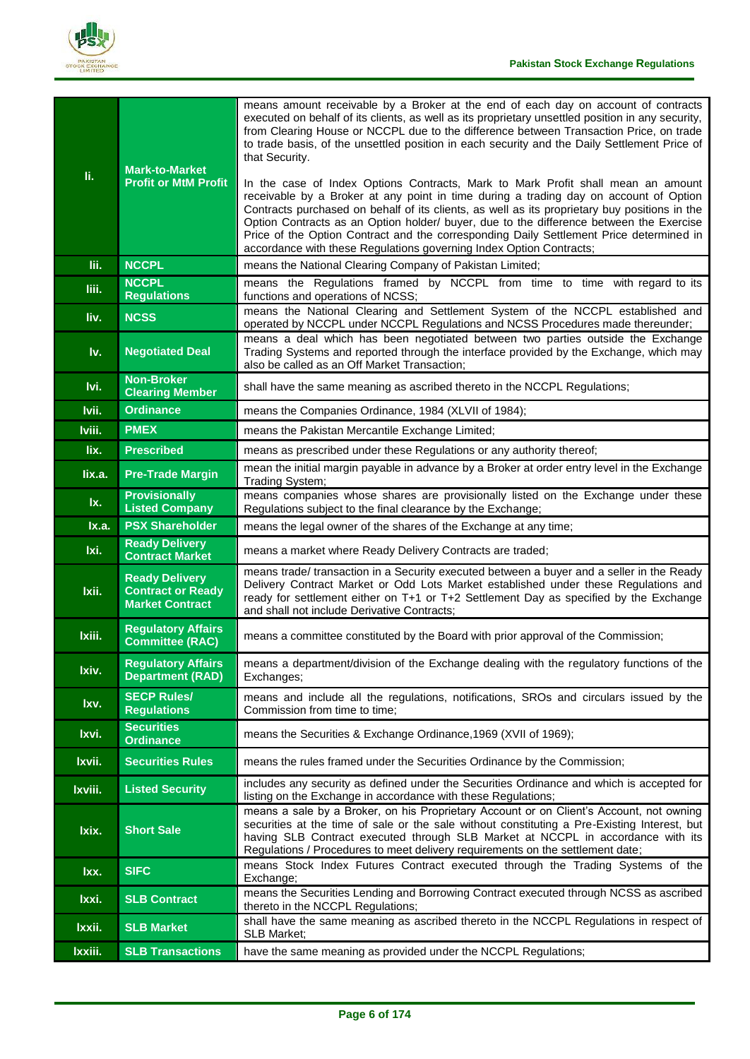

| li.     | <b>Mark-to-Market</b><br><b>Profit or MtM Profit</b>                        | means amount receivable by a Broker at the end of each day on account of contracts<br>executed on behalf of its clients, as well as its proprietary unsettled position in any security,<br>from Clearing House or NCCPL due to the difference between Transaction Price, on trade<br>to trade basis, of the unsettled position in each security and the Daily Settlement Price of<br>that Security.<br>In the case of Index Options Contracts, Mark to Mark Profit shall mean an amount<br>receivable by a Broker at any point in time during a trading day on account of Option<br>Contracts purchased on behalf of its clients, as well as its proprietary buy positions in the<br>Option Contracts as an Option holder/ buyer, due to the difference between the Exercise<br>Price of the Option Contract and the corresponding Daily Settlement Price determined in<br>accordance with these Regulations governing Index Option Contracts; |
|---------|-----------------------------------------------------------------------------|------------------------------------------------------------------------------------------------------------------------------------------------------------------------------------------------------------------------------------------------------------------------------------------------------------------------------------------------------------------------------------------------------------------------------------------------------------------------------------------------------------------------------------------------------------------------------------------------------------------------------------------------------------------------------------------------------------------------------------------------------------------------------------------------------------------------------------------------------------------------------------------------------------------------------------------------|
| lii.    | <b>NCCPL</b>                                                                | means the National Clearing Company of Pakistan Limited;                                                                                                                                                                                                                                                                                                                                                                                                                                                                                                                                                                                                                                                                                                                                                                                                                                                                                       |
| liii.   | <b>NCCPL</b><br><b>Regulations</b>                                          | means the Regulations framed by NCCPL from time to time with regard to its<br>functions and operations of NCSS;                                                                                                                                                                                                                                                                                                                                                                                                                                                                                                                                                                                                                                                                                                                                                                                                                                |
| liv.    | <b>NCSS</b>                                                                 | means the National Clearing and Settlement System of the NCCPL established and<br>operated by NCCPL under NCCPL Regulations and NCSS Procedures made thereunder;                                                                                                                                                                                                                                                                                                                                                                                                                                                                                                                                                                                                                                                                                                                                                                               |
| Iv.     | <b>Negotiated Deal</b>                                                      | means a deal which has been negotiated between two parties outside the Exchange<br>Trading Systems and reported through the interface provided by the Exchange, which may<br>also be called as an Off Market Transaction;                                                                                                                                                                                                                                                                                                                                                                                                                                                                                                                                                                                                                                                                                                                      |
| Ivi.    | <b>Non-Broker</b><br><b>Clearing Member</b>                                 | shall have the same meaning as ascribed thereto in the NCCPL Regulations;                                                                                                                                                                                                                                                                                                                                                                                                                                                                                                                                                                                                                                                                                                                                                                                                                                                                      |
| Ivii.   | <b>Ordinance</b>                                                            | means the Companies Ordinance, 1984 (XLVII of 1984);                                                                                                                                                                                                                                                                                                                                                                                                                                                                                                                                                                                                                                                                                                                                                                                                                                                                                           |
| Iviii.  | <b>PMEX</b>                                                                 | means the Pakistan Mercantile Exchange Limited;                                                                                                                                                                                                                                                                                                                                                                                                                                                                                                                                                                                                                                                                                                                                                                                                                                                                                                |
| lix.    | <b>Prescribed</b>                                                           | means as prescribed under these Regulations or any authority thereof;                                                                                                                                                                                                                                                                                                                                                                                                                                                                                                                                                                                                                                                                                                                                                                                                                                                                          |
| lix.a.  | <b>Pre-Trade Margin</b>                                                     | mean the initial margin payable in advance by a Broker at order entry level in the Exchange<br>Trading System;                                                                                                                                                                                                                                                                                                                                                                                                                                                                                                                                                                                                                                                                                                                                                                                                                                 |
| lx.     | <b>Provisionally</b><br><b>Listed Company</b>                               | means companies whose shares are provisionally listed on the Exchange under these<br>Regulations subject to the final clearance by the Exchange;                                                                                                                                                                                                                                                                                                                                                                                                                                                                                                                                                                                                                                                                                                                                                                                               |
| Ix.a.   | <b>PSX Shareholder</b>                                                      | means the legal owner of the shares of the Exchange at any time;                                                                                                                                                                                                                                                                                                                                                                                                                                                                                                                                                                                                                                                                                                                                                                                                                                                                               |
| Ixi.    | <b>Ready Delivery</b><br><b>Contract Market</b>                             | means a market where Ready Delivery Contracts are traded;                                                                                                                                                                                                                                                                                                                                                                                                                                                                                                                                                                                                                                                                                                                                                                                                                                                                                      |
| Ixii.   | <b>Ready Delivery</b><br><b>Contract or Ready</b><br><b>Market Contract</b> | means trade/ transaction in a Security executed between a buyer and a seller in the Ready<br>Delivery Contract Market or Odd Lots Market established under these Regulations and<br>ready for settlement either on T+1 or T+2 Settlement Day as specified by the Exchange<br>and shall not include Derivative Contracts;                                                                                                                                                                                                                                                                                                                                                                                                                                                                                                                                                                                                                       |
| Ixiii.  | <b>Regulatory Affairs</b><br><b>Committee (RAC)</b>                         | means a committee constituted by the Board with prior approval of the Commission;                                                                                                                                                                                                                                                                                                                                                                                                                                                                                                                                                                                                                                                                                                                                                                                                                                                              |
| Ixiv.   | <b>Regulatory Affairs</b><br><b>Department (RAD)</b>                        | means a department/division of the Exchange dealing with the regulatory functions of the<br>Exchanges;                                                                                                                                                                                                                                                                                                                                                                                                                                                                                                                                                                                                                                                                                                                                                                                                                                         |
| Ixv.    | <b>SECP Rules/</b><br><b>Regulations</b>                                    | means and include all the regulations, notifications, SROs and circulars issued by the<br>Commission from time to time;                                                                                                                                                                                                                                                                                                                                                                                                                                                                                                                                                                                                                                                                                                                                                                                                                        |
| Ixvi.   | <b>Securities</b><br><b>Ordinance</b>                                       | means the Securities & Exchange Ordinance, 1969 (XVII of 1969);                                                                                                                                                                                                                                                                                                                                                                                                                                                                                                                                                                                                                                                                                                                                                                                                                                                                                |
| Ixvii.  | <b>Securities Rules</b>                                                     | means the rules framed under the Securities Ordinance by the Commission;                                                                                                                                                                                                                                                                                                                                                                                                                                                                                                                                                                                                                                                                                                                                                                                                                                                                       |
| Ixviii. | <b>Listed Security</b>                                                      | includes any security as defined under the Securities Ordinance and which is accepted for<br>listing on the Exchange in accordance with these Regulations;                                                                                                                                                                                                                                                                                                                                                                                                                                                                                                                                                                                                                                                                                                                                                                                     |
| Ixix.   | <b>Short Sale</b>                                                           | means a sale by a Broker, on his Proprietary Account or on Client's Account, not owning<br>securities at the time of sale or the sale without constituting a Pre-Existing Interest, but<br>having SLB Contract executed through SLB Market at NCCPL in accordance with its<br>Regulations / Procedures to meet delivery requirements on the settlement date;                                                                                                                                                                                                                                                                                                                                                                                                                                                                                                                                                                                   |
| Ixx.    | <b>SIFC</b>                                                                 | means Stock Index Futures Contract executed through the Trading Systems of the<br>Exchange;                                                                                                                                                                                                                                                                                                                                                                                                                                                                                                                                                                                                                                                                                                                                                                                                                                                    |
| Ixxi.   | <b>SLB Contract</b>                                                         | means the Securities Lending and Borrowing Contract executed through NCSS as ascribed<br>thereto in the NCCPL Regulations;                                                                                                                                                                                                                                                                                                                                                                                                                                                                                                                                                                                                                                                                                                                                                                                                                     |
| Ixxii.  | <b>SLB Market</b>                                                           | shall have the same meaning as ascribed thereto in the NCCPL Regulations in respect of<br>SLB Market;                                                                                                                                                                                                                                                                                                                                                                                                                                                                                                                                                                                                                                                                                                                                                                                                                                          |
| Ixxiii. | <b>SLB Transactions</b>                                                     | have the same meaning as provided under the NCCPL Regulations;                                                                                                                                                                                                                                                                                                                                                                                                                                                                                                                                                                                                                                                                                                                                                                                                                                                                                 |